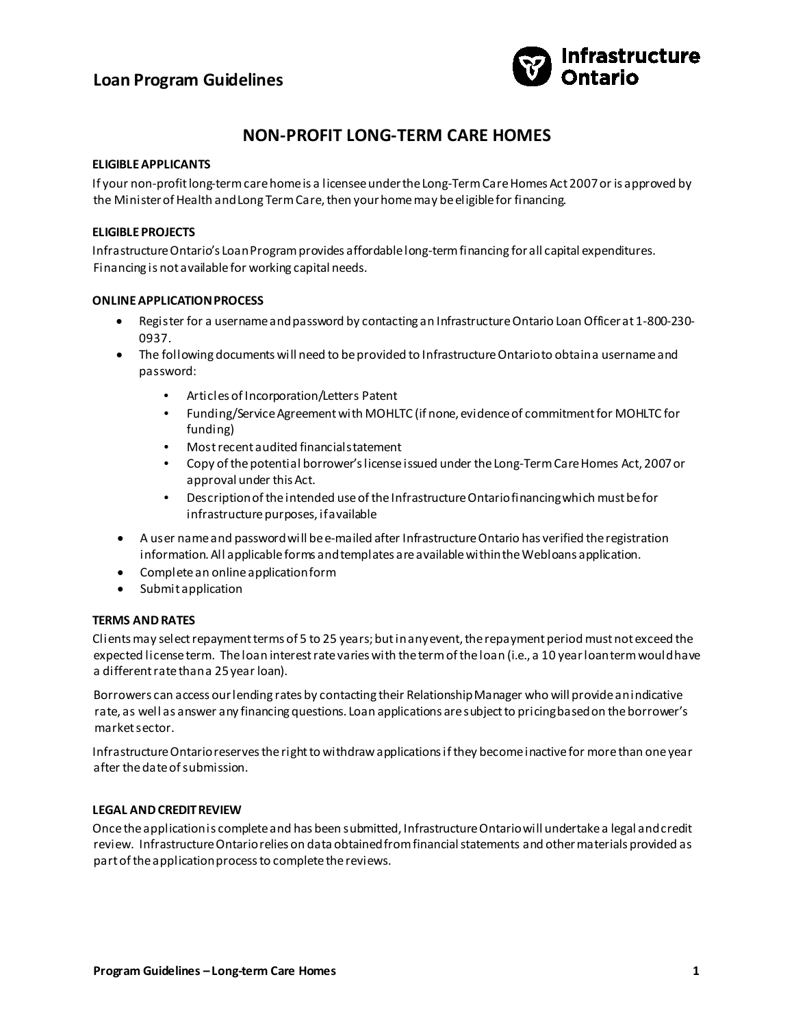# **Loan Program Guidelines**



# **NON-PROFIT LONG-TERM CARE HOMES**

## **ELIGIBLE APPLICANTS**

If your non-profit long-term care home is a licensee under the Long-Term Care Homes Act 2007 or is approved by the Minister of Health and Long Term Care, then your home may be eligible for financing.

## **ELIGIBLE PROJECTS**

Infrastructure Ontario's Loan Program provides affordable long-term financing for all capital expenditures. Financing is not available for working capital needs.

## **ONLINE APPLICATION PROCESS**

- Register for a username and password by contacting an Infrastructure Ontario Loan Officer at 1-800-230- 0937.
- The following documents will need to be provided to Infrastructure Ontario to obtain a username and password:
	- Articles of Incorporation/Letters Patent
	- Funding/Service Agreement with MOHLTC (if none, evidence of commitment for MOHLTC for funding)
	- Most recent audited financial statement
	- Copy of the potential borrower's license issued under the Long-Term Care Homes Act, 2007 or approval under this Act.
	- Description of the intended use of the Infrastructure Ontario financing which must be for infrastructure purposes, if available
- A user name and password will be e-mailed after Infrastructure Ontario has verified the registration information. All applicable forms and templates are available within the Webloans application.
- Complete an online application form
- Submit application

# **TERMS AND RATES**

Clients may select repayment terms of 5 to 25 years; but in any event, the repayment period must not exceed the expected license term. The loan interest rate varies with the term of the loan (i.e., a 10 year loan term would have a different rate than a 25 year loan).

Borrowers can access our lending rates by contacting their Relationship Manager who will provide an indicative rate, as well as answer any financing questions. Loan applications are subject to pricing based on the borrower's market sector.

Infrastructure Ontario reserves the right to withdraw applications if they become inactive for more than one year after the date of submission.

## **LEGAL AND CREDIT REVIEW**

Once the application is complete and has been submitted, Infrastructure Ontario will undertake a legal and credit review. Infrastructure Ontario relies on data obtained from financial statements and other materials provided as part of the application process to complete the reviews.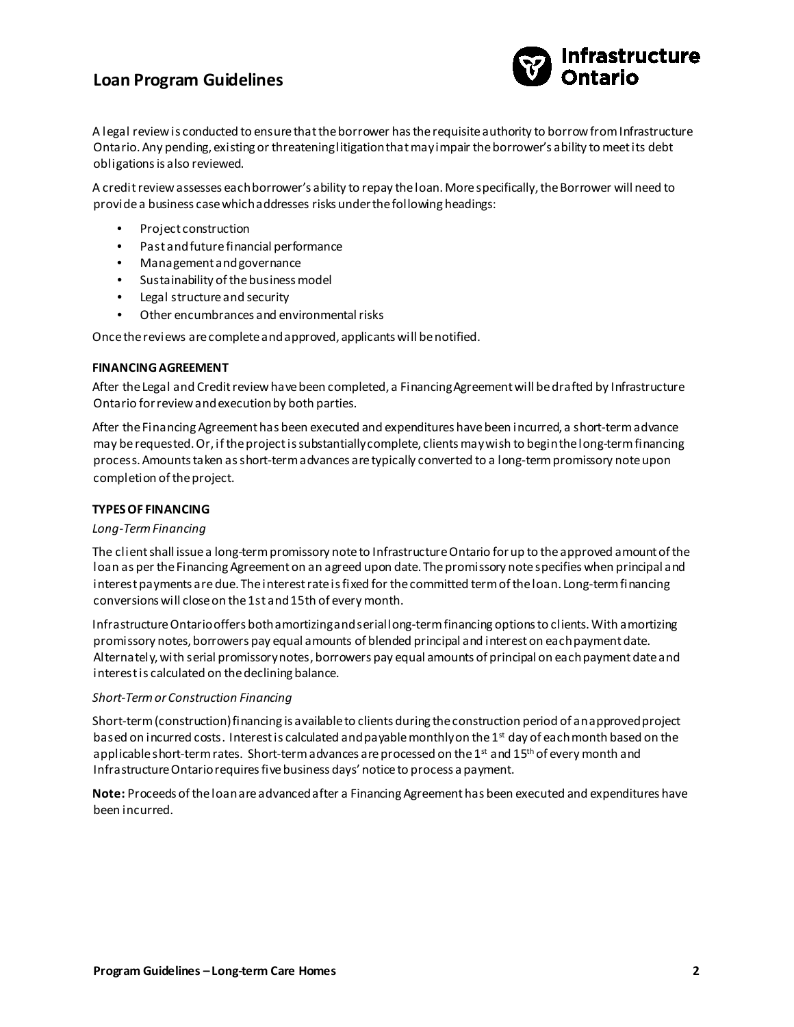# **Loan Program Guidelines**



A legal review is conducted to ensure that the borrower has the requisite authority to borrow from Infrastructure Ontario. Any pending, existing or threatening litigation that may impair the borrower's ability to meet its debt obligations is also reviewed.

A credit review assesses each borrower's ability to repay the loan. More specifically, the Borrower will need to provide a business case which addresses risks under the following headings:

- Project construction
- Past and future financial performance
- Management and governance
- Sustainability of the businessmodel
- Legal structure and security
- Other encumbrances and environmental risks

Once the reviews are complete and approved, applicants will be notified.

#### **FINANCING AGREEMENT**

After the Legal and Credit review have been completed, a Financing Agreement will be drafted by Infrastructure Ontario for review and execution by both parties.

After the Financing Agreement has been executed and expenditures have been incurred, a short-term advance may be requested. Or, if the project is substantially complete, clients may wish to begin the long-term financing process. Amounts taken as short-term advances are typically converted to a long-term promissory note upon completion of the project.

## **TYPES OF FINANCING**

### *Long-Term Financing*

The client shall issue a long-term promissory note to Infrastructure Ontario for up to the approved amount of the loan as per the Financing Agreement on an agreed upon date. The promissory note specifies when principal and interest payments are due. The interest rate is fixed for the committed term of the loan. Long-term financing conversions will close on the 1st and 15th of every month.

Infrastructure Ontario offers both amortizing and serial long-term financing options to clients. With amortizing promissory notes, borrowers pay equal amounts of blended principal and interest on each payment date. Alternately, with serial promissory notes, borrowers pay equal amounts of principal on each payment date and interest is calculated on the declining balance.

## *Short-Term or Construction Financing*

Short-term (construction) financing is available to clients during the construction period of an approved project based on incurred costs. Interest is calculated and payable monthly on the 1<sup>st</sup> day of each month based on the applicable short-term rates. Short-term advances are processed on the 1st and 15<sup>th</sup> of every month and Infrastructure Ontario requires five business days' notice to process a payment.

**Note:** Proceeds of the loan are advanced after a Financing Agreement has been executed and expenditures have been incurred.